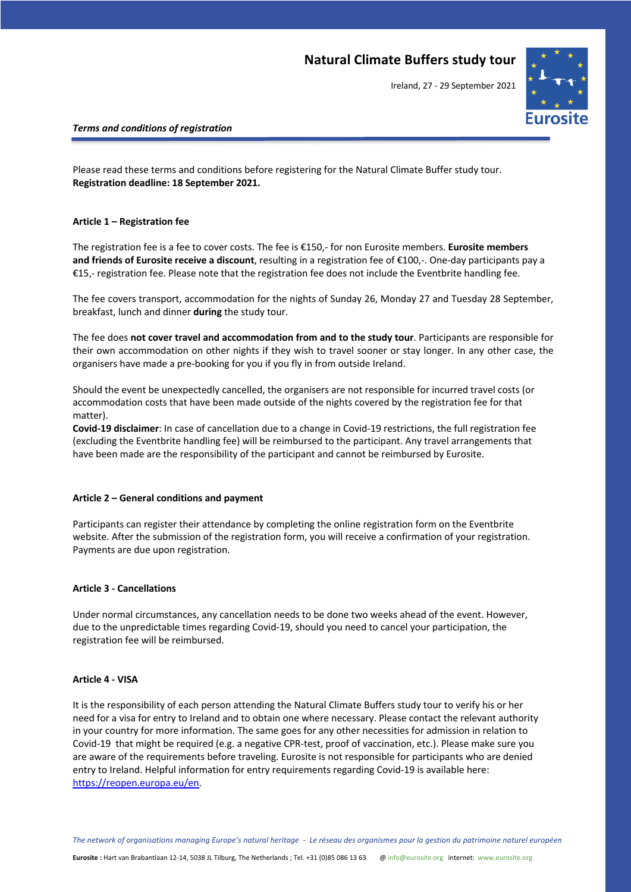## **Natural Climate Buffers study tour**

Ireland, 27 - 29 September 2021



## *Terms and conditions of registration*

Please read these terms and conditions before registering for the Natural Climate Buffer study tour. **Registration deadline: 18 September 2021.**

### **Article 1 – Registration fee**

The registration fee is a fee to cover costs. The fee is €150,- for non Eurosite members. **Eurosite members and friends of Eurosite receive a discount**, resulting in a registration fee of €100,-. One-day participants pay a €15,- registration fee. Please note that the registration fee does not include the Eventbrite handling fee.

The fee covers transport, accommodation for the nights of Sunday 26, Monday 27 and Tuesday 28 September, breakfast, lunch and dinner **during** the study tour.

The fee does **not cover travel and accommodation from and to the study tour**. Participants are responsible for their own accommodation on other nights if they wish to travel sooner or stay longer. In any other case, the organisers have made a pre-booking for you if you fly in from outside Ireland.

Should the event be unexpectedly cancelled, the organisers are not responsible for incurred travel costs (or accommodation costs that have been made outside of the nights covered by the registration fee for that matter).

**Covid-19 disclaimer**: In case of cancellation due to a change in Covid-19 restrictions, the full registration fee (excluding the Eventbrite handling fee) will be reimbursed to the participant. Any travel arrangements that have been made are the responsibility of the participant and cannot be reimbursed by Eurosite.

#### **Article 2 – General conditions and payment**

Participants can register their attendance by completing the online registration form on the Eventbrite website. After the submission of the registration form, you will receive a confirmation of your registration. Payments are due upon registration.

#### **Article 3 - Cancellations**

Under normal circumstances, any cancellation needs to be done two weeks ahead of the event. However, due to the unpredictable times regarding Covid-19, should you need to cancel your participation, the registration fee will be reimbursed.

#### **Article 4 - VISA**

It is the responsibility of each person attending the Natural Climate Buffers study tour to verify his or her need for a visa for entry to Ireland and to obtain one where necessary. Please contact the relevant authority in your country for more information. The same goes for any other necessities for admission in relation to Covid-19 that might be required (e.g. a negative CPR-test, proof of vaccination, etc.). Please make sure you are aware of the requirements before traveling. Eurosite is not responsible for participants who are denied entry to Ireland. Helpful information for entry requirements regarding Covid-19 is available here: https://reopen.europa.eu/en.